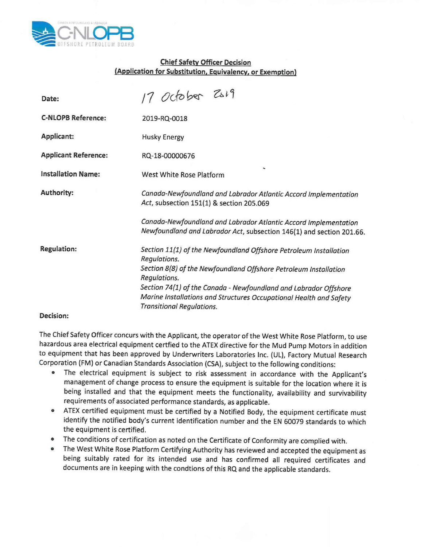

## **Chief Safety Officer Decision (Application for Substitution, Equivalency, or Exemption)**

| Date:                       | 17 October 2019                                                                                                                                                            |
|-----------------------------|----------------------------------------------------------------------------------------------------------------------------------------------------------------------------|
| <b>C-NLOPB Reference:</b>   | 2019-RQ-0018                                                                                                                                                               |
| Applicant:                  | <b>Husky Energy</b>                                                                                                                                                        |
| <b>Applicant Reference:</b> | RQ-18-00000676                                                                                                                                                             |
| <b>Installation Name:</b>   | ۰<br>West White Rose Platform                                                                                                                                              |
| Authority:                  | Canada-Newfoundland and Labrador Atlantic Accord Implementation<br>Act, subsection 151(1) & section 205.069                                                                |
|                             | Canada-Newfoundland and Labrador Atlantic Accord Implementation<br>Newfoundland and Labrador Act, subsection 146(1) and section 201.66.                                    |
| <b>Regulation:</b>          | Section 11(1) of the Newfoundland Offshore Petroleum Installation<br>Regulations.                                                                                          |
|                             | Section 8(8) of the Newfoundland Offshore Petroleum Installation<br>Regulations.                                                                                           |
|                             | Section 74(1) of the Canada - Newfoundland and Labrador Offshore<br>Marine Installations and Structures Occupational Health and Safety<br><b>Transitional Regulations.</b> |

## **Decision:**

The Chief Safety Officer concurs with the Applicant, the operator of the West White Rose Platform, to use hazardous area electrical equipment certfied to the ATEX directive for the Mud Pump Motors in addition to equipment that has been approved by Underwriters Laboratories Inc. (UL), Factory Mutual Research Corporation (FM) or Canadian Standards Association (CSA), subject to the following conditions:

- The electrical equipment is subject to risk assessment in accordance with the Applicant's management of change process to ensure the equipment is suitable for the location where it is being installed and that the equipment meets the functionality, availability and survivability requirements of associated performance standards, as applicable.
- ATEX certified equipment must be certified by a Notified Body, the equipment certificate must identify the notified body's current identification number and the **EN** 60079 standards to which the equipment is certified.
- The conditions of certification as noted on the Certificate of Conformity are complied with.
- The West White Rose Platform Certifying Authority has reviewed and accepted the equipment as being suitably rated for its intended use and has confirmed all required certificates and documents are in keeping with the condtions of this RQ and the applicable standards.